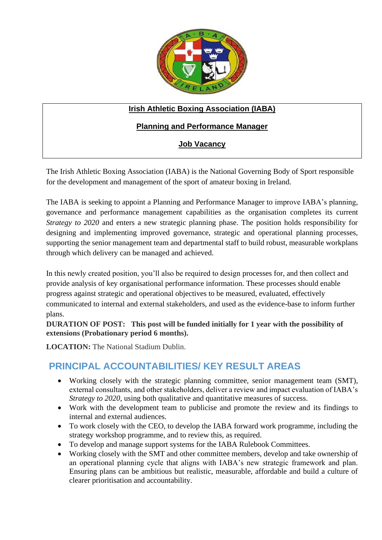

### **Irish Athletic Boxing Association (IABA)**

## **Planning and Performance Manager**

## **Job Vacancy**

The Irish Athletic Boxing Association (IABA) is the National Governing Body of Sport responsible for the development and management of the sport of amateur boxing in Ireland.

The IABA is seeking to appoint a Planning and Performance Manager to improve IABA's planning, governance and performance management capabilities as the organisation completes its current *Strategy to 2020* and enters a new strategic planning phase. The position holds responsibility for designing and implementing improved governance, strategic and operational planning processes, supporting the senior management team and departmental staff to build robust, measurable workplans through which delivery can be managed and achieved.

In this newly created position, you'll also be required to design processes for, and then collect and provide analysis of key organisational performance information. These processes should enable progress against strategic and operational objectives to be measured, evaluated, effectively communicated to internal and external stakeholders, and used as the evidence-base to inform further plans.

**DURATION OF POST: This post will be funded initially for 1 year with the possibility of extensions (Probationary period 6 months).**

**LOCATION:** The National Stadium Dublin.

## **PRINCIPAL ACCOUNTABILITIES/ KEY RESULT AREAS**

- Working closely with the strategic planning committee, senior management team (SMT), external consultants, and other stakeholders, deliver a review and impact evaluation of IABA's *Strategy to 2020*, using both qualitative and quantitative measures of success.
- Work with the development team to publicise and promote the review and its findings to internal and external audiences.
- To work closely with the CEO, to develop the IABA forward work programme, including the strategy workshop programme, and to review this, as required.
- To develop and manage support systems for the IABA Rulebook Committees.
- Working closely with the SMT and other committee members, develop and take ownership of an operational planning cycle that aligns with IABA's new strategic framework and plan. Ensuring plans can be ambitious but realistic, measurable, affordable and build a culture of clearer prioritisation and accountability.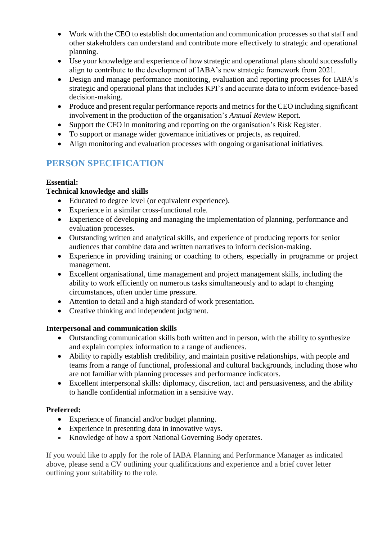- Work with the CEO to establish documentation and communication processes so that staff and other stakeholders can understand and contribute more effectively to strategic and operational planning.
- Use your knowledge and experience of how strategic and operational plans should successfully align to contribute to the development of IABA's new strategic framework from 2021.
- Design and manage performance monitoring, evaluation and reporting processes for IABA's strategic and operational plans that includes KPI's and accurate data to inform evidence-based decision-making.
- Produce and present regular performance reports and metrics for the CEO including significant involvement in the production of the organisation's *Annual Review* Report.
- Support the CFO in monitoring and reporting on the organisation's Risk Register.
- To support or manage wider governance initiatives or projects, as required.
- Align monitoring and evaluation processes with ongoing organisational initiatives.

# **PERSON SPECIFICATION**

### **Essential:**

### **Technical knowledge and skills**

- Educated to degree level (or equivalent experience).
- Experience in a similar cross-functional role.
- Experience of developing and managing the implementation of planning, performance and evaluation processes.
- Outstanding written and analytical skills, and experience of producing reports for senior audiences that combine data and written narratives to inform decision-making.
- Experience in providing training or coaching to others, especially in programme or project management.
- Excellent organisational, time management and project management skills, including the ability to work efficiently on numerous tasks simultaneously and to adapt to changing circumstances, often under time pressure.
- Attention to detail and a high standard of work presentation.
- Creative thinking and independent judgment.

#### **Interpersonal and communication skills**

- Outstanding communication skills both written and in person, with the ability to synthesize and explain complex information to a range of audiences.
- Ability to rapidly establish credibility, and maintain positive relationships, with people and teams from a range of functional, professional and cultural backgrounds, including those who are not familiar with planning processes and performance indicators.
- Excellent interpersonal skills: diplomacy, discretion, tact and persuasiveness, and the ability to handle confidential information in a sensitive way.

### **Preferred:**

- Experience of financial and/or budget planning.
- Experience in presenting data in innovative ways.
- Knowledge of how a sport National Governing Body operates.

If you would like to apply for the role of IABA Planning and Performance Manager as indicated above, please send a CV outlining your qualifications and experience and a brief cover letter outlining your suitability to the role.